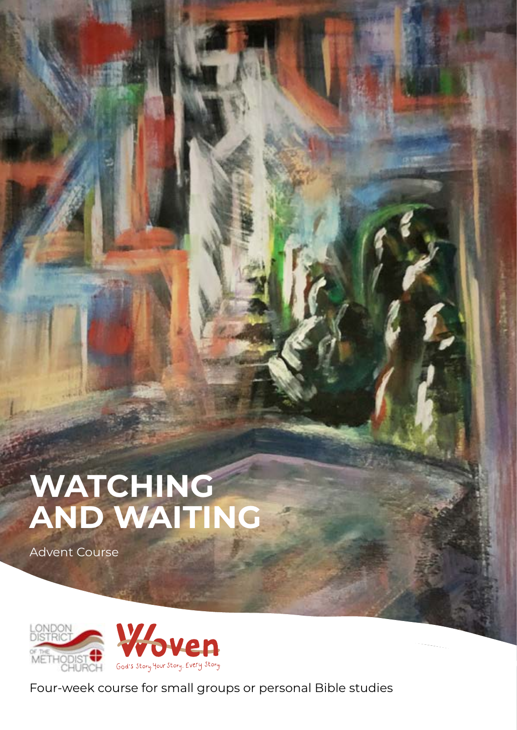# **WATCHING AND WAITING**

Advent Course



Four-week course for small groups or personal Bible studies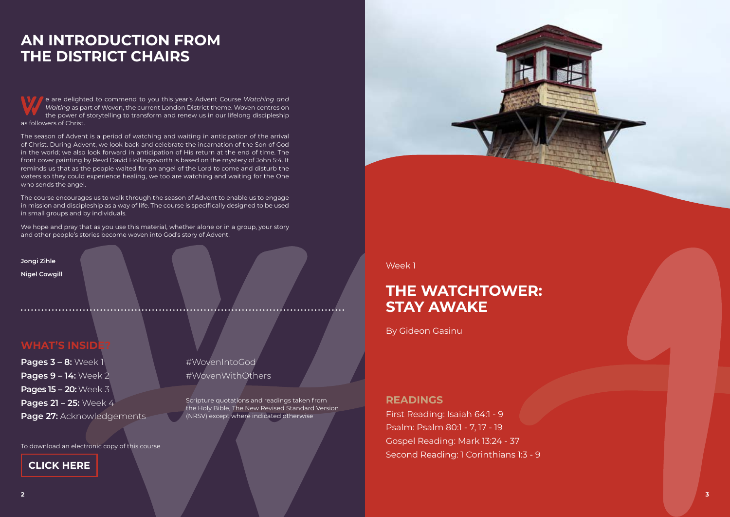**Pages 3 – 8:** Week 1 **Pages 9 – 14:** Week 2 **Pages 15 – 20:** Week 3 **Pages 21 – 25:** Week 4 **Page 27:** Acknowledgements

e are delighted to commend to you this year's Advent Course *Watching and Waiting* as part of Woven, the current London District theme. Woven centres on the power of storytelling to transform and renew us in our lifelong discipleship as followers of Christ.

The season of Advent is a period of watching and waiting in anticipation of the arrival of Christ. During Advent, we look back and celebrate the incarnation of the Son of God in the world; we also look forward in anticipation of His return at the end of time. The front cover painting by Revd David Hollingsworth is based on the mystery of John 5:4. It reminds us that as the people waited for an angel of the Lord to come and disturb the waters so they could experience healing, we too are watching and waiting for the One who sends the angel.

The course encourages us to walk through the season of Advent to enable us to engage in mission and discipleship as a way of life. The course is specifically designed to be used in small groups and by individuals.

We hope and pray that as you use this material, whether alone or in a group, your story and other people's stories become woven into God's story of Advent.

**Jongi Zihle**

**Nigel Cowgill**

## **WHAT'S INSID**

# **AN INTRODUCTION FROM THE DISTRICT CHAIRS**

#WovenIntoGod #WovenWithOthers

Scripture quotations and readings taken from the Holy Bible, The New Revised Standard Version (NRSV) except where indicated otherwise



To download an electronic copy of this course

## **CLICK HERE**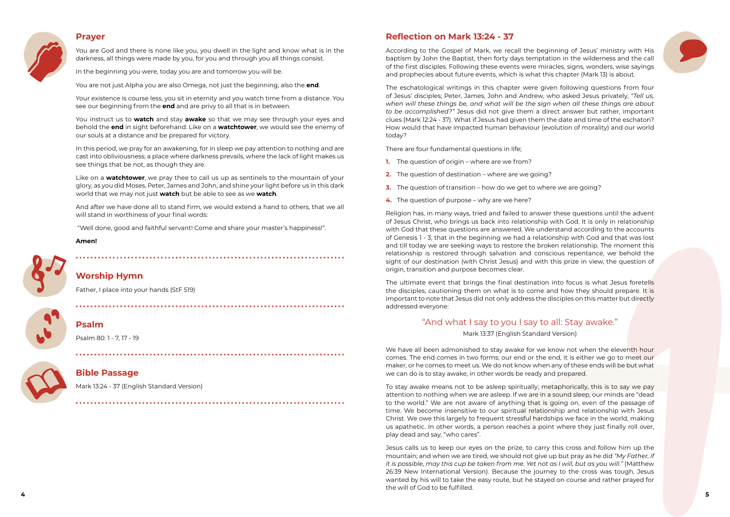## **Prayer**



You are God and there is none like you, you dwell in the light and know what is in the darkness, all things were made by you, for you and through you all things consist.

In the beginning you were, today you are and tomorrow you will be.

You are not just Alpha you are also Omega, not just the beginning, also the **end**.

Your existence is course less, you sit in eternity and you watch time from a distance. You see our beginning from the **end** and are privy to all that is in between.

You instruct us to **watch** and stay **awake** so that we may see through your eyes and behold the **end** in sight beforehand. Like on a **watchtower**, we would see the enemy of our souls at a distance and be prepared for victory.

In this period, we pray for an awakening, for in sleep we pay attention to nothing and are cast into obliviousness; a place where darkness prevails, where the lack of light makes us see things that be not, as though they are.

Like on a **watchtower**, we pray thee to call us up as sentinels to the mountain of your glory, as you did Moses, Peter, James and John, and shine your light before us in this dark world that we may not just **watch** but be able to see as we **watch**.

And after we have done all to stand firm, we would extend a hand to others, that we all will stand in worthiness of your final words:

"Well done, good and faithful servant! Come and share your master's happiness!".

- **1.** The question of origin where are we from?
- **2.** The question of destination where are we going?
- **3.** The question of transition how do we get to where we are going?
- **4.** The question of purpose why are we here?

#### **Amen!**



## **Worship Hymn**

[Father, I place into your hands](https://www.methodist.org.uk/our-faith/worship/singing-the-faith-plus/hymns/father-i-place-into-your-hands-stf-519/) (StF 519)



### **Psalm**

Psalm 80: 1 - 7, 17 - 19



### **Bible Passage**

Mark 13:24 - 37 (English Standard Version)

## **Reflection on Mark 13:24 - 37**

According to the Gospel of Mark, we recall the beginning of Jesus' ministry with His baptism by John the Baptist, then forty days temptation in the wilderness and the call of the first disciples. Following these events were miracles, signs, wonders, wise sayings and prophecies about future events, which is what this chapter (Mark 13) is about.

The ultimate event that brings the final destination into focus is what Jesus foretells the disciples, cautioning them on what is to come and how they should prepare. It is important to note that Jesus did not only address the disciples on this matter but directly addressed everyone:

The eschatological writings in this chapter were given following questions from four of Jesus' disciples; Peter, James, John and Andrew, who asked Jesus privately, *"Tell us, when will these things be, and what will be the sign when all these things are about to be accomplished?"* Jesus did not give them a direct answer but rather, important clues (Mark 12:24 - 37). What if Jesus had given them the date and time of the eschaton? How would that have impacted human behaviour (evolution of morality) and our world today?

There are four fundamental questions in life;

Religion has, in many ways, tried and failed to answer these questions until the advent of Jesus Christ, who brings us back into relationship with God. It is only in relationship with God that these questions are answered. We understand according to the accounts of Genesis 1 - 3, that in the beginning we had a relationship with God and that was lost and till today we are seeking ways to restore the broken relationship. The moment this relationship is restored through salvation and conscious repentance, we behold the sight of our destination (with Christ Jesus) and with this prize in view, the question of origin, transition and purpose becomes clear.

## "And what I say to you I say to all: Stay awake."

Mark 13:37 (English Standard Version)

We have all been admonished to stay awake for we know not when the eleventh hour comes. The end comes in two forms; our end or the end, it is either we go to meet our maker, or he comes to meet us. We do not know when any of these ends will be but what we can do is to stay awake, in other words be ready and prepared.

To stay awake means not to be asleep spiritually; metaphorically, this is to say we pay attention to nothing when we are asleep. If we are in a sound sleep, our minds are "dead to the world." We are not aware of anything that is going on, even of the passage of time. We become insensitive to our spiritual relationship and relationship with Jesus Christ. We owe this largely to frequent stressful hardships we face in the world, making us apathetic. In other words, a person reaches a point where they just finally roll over, play dead and say, "who cares".

Jesus calls us to keep our eyes on the prize, to carry this cross and follow him up the mountain; and when we are tired, we should not give up but pray as he did *"My Father, if it is possible, may this cup be taken from me. Yet not as I will, but as you will."* (Matthew 26:39 New International Version). Because the journey to the cross was tough, Jesus wanted by his will to take the easy route, but he stayed on course and rather prayed for the will of God to be fulfilled.

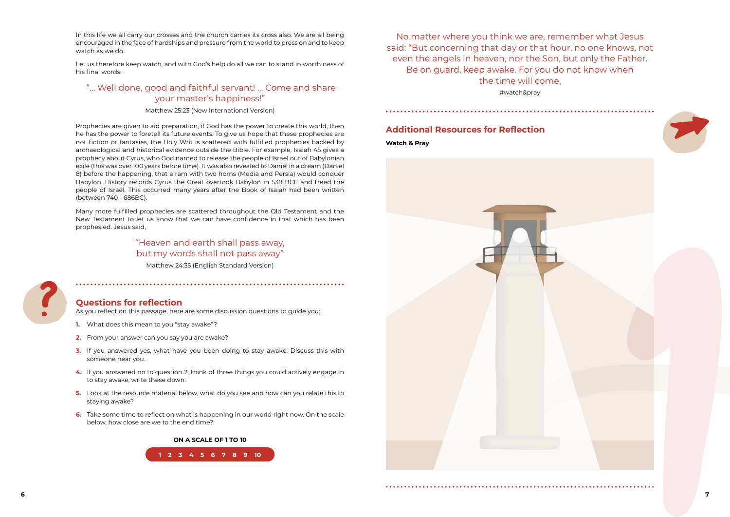No matter where you think we are, remember what Jesus said: "But concerning that day or that hour, no one knows, not even the angels in heaven, nor the Son, but only the Father. Be on guard, keep awake. For you do not know when the time will come. #watch&pray

### **Additional Resources for Reflection**

**Watch & Pray**

In this life we all carry our crosses and the church carries its cross also. We are all being encouraged in the face of hardships and pressure from the world to press on and to keep watch as we do.

Let us therefore keep watch, and with God's help do all we can to stand in worthiness of his final words:

## "… Well done, good and faithful servant! … Come and share your master's happiness!"

Matthew 25:23 (New International Version)

Prophecies are given to aid preparation, if God has the power to create this world, then he has the power to foretell its future events. To give us hope that these prophecies are not fiction or fantasies, the Holy Writ is scattered with fulfilled prophecies backed by archaeological and historical evidence outside the Bible. For example, Isaiah 45 gives a prophecy about Cyrus, who God named to release the people of Israel out of Babylonian exile (this was over 100 years before time). It was also revealed to Daniel in a dream (Daniel 8) before the happening, that a ram with two horns (Media and Persia) would conquer Babylon. History records Cyrus the Great overtook Babylon in 539 BCE and freed the people of Israel. This occurred many years after the Book of Isaiah had been written (between 740 - 686BC).

Many more fulfilled prophecies are scattered throughout the Old Testament and the New Testament to let us know that we can have confidence in that which has been prophesied. Jesus said,

## "Heaven and earth shall pass away, but my words shall not pass away"

Matthew 24:35 (English Standard Version)



## **Questions for reflection**

As you reflect on this passage, here are some discussion questions to guide you:

- **1.** What does this mean to you "stay awake"?
- **2.** From your answer can you say you are awake?
- **3.** If you answered yes, what have you been doing to stay awake. Discuss this with someone near you.
- **4.** If you answered no to question 2, think of three things you could actively engage in to stay awake, write these down.
- **5.** Look at the resource material below, what do you see and how can you relate this to staying awake?
- **6.** Take some time to reflect on what is happening in our world right now. On the scale below, how close are we to the end time?

#### **ON A SCALE OF 1 TO 10**



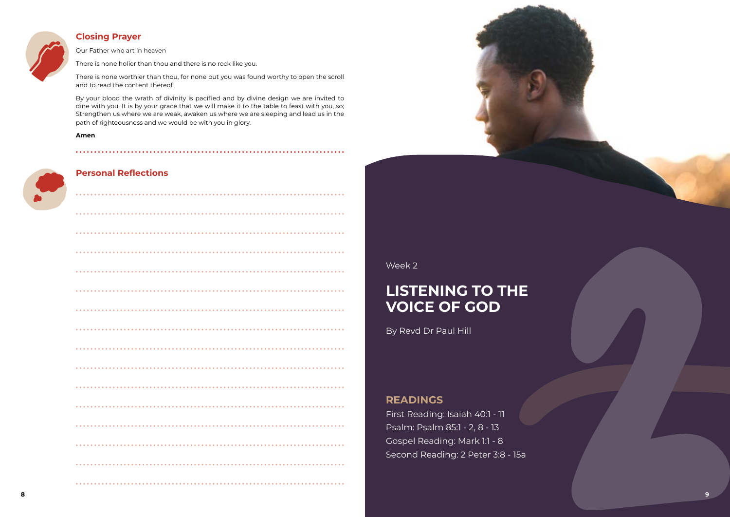Week 2

# **LISTENING TO THE VOICE OF GOD**

By Revd Dr Paul Hill

## **READINGS**

First Reading: Isaiah 40:1 - 11 Psalm: Psalm 85:1 - 2, 8 - 13 Gospel Reading: Mark 1:1 - 8 Second Reading: 2 Peter 3:8 - 15a

## **Closing Prayer**



Our Father who art in heaven

There is none holier than thou and there is no rock like you.

There is none worthier than thou, for none but you was found worthy to open the scroll and to read the content thereof.

By your blood the wrath of divinity is pacified and by divine design we are invited to dine with you. It is by your grace that we will make it to the table to feast with you, so; Strengthen us where we are weak, awaken us where we are sleeping and lead us in the path of righteousness and we would be with you in glory.

#### **Amen**





## **Personal Reflections**

| . . |  |  |  |  |  |  |  |  |  |  |  |  |  |  |  |  |  |  |  |  |  |  |  |  |  | $- - - - -$ |  |
|-----|--|--|--|--|--|--|--|--|--|--|--|--|--|--|--|--|--|--|--|--|--|--|--|--|--|-------------|--|
|     |  |  |  |  |  |  |  |  |  |  |  |  |  |  |  |  |  |  |  |  |  |  |  |  |  |             |  |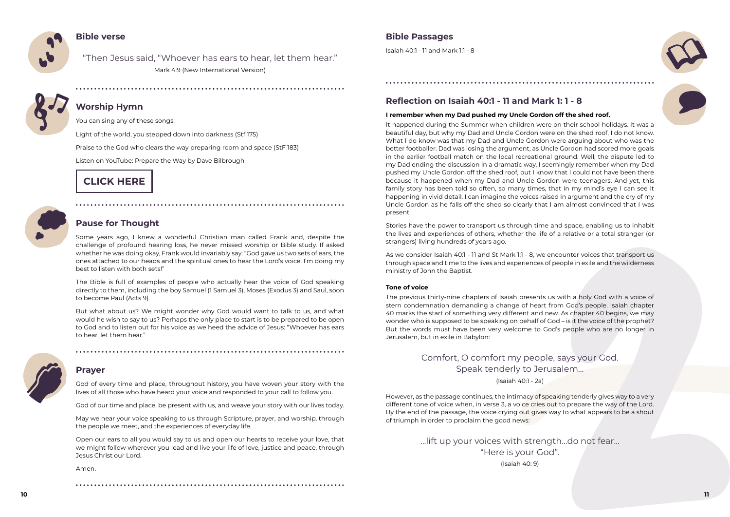

### **Bible verse**

"Then Jesus said, "Whoever has ears to hear, let them hear." Mark 4:9 (New International Version)



## **Worship Hymn**

You can sing any of these songs:

[Light of the world, you stepped down into darkness](https://www.methodist.org.uk/our-faith/worship/singing-the-faith-plus/hymns/light-of-the-world-you-stepped-down-into-darkness-stf-175/) (Stf 175)

[Praise to the God who clears the way preparing room and space](https://www.methodist.org.uk/our-faith/worship/singing-the-faith-plus/hymns/praise-to-the-god-who-clears-the-way-stf-183/) (StF 183)

Listen on YouTube: Prepare the Way by Dave Bilbrough

## **Pause for Thought**

Some years ago, I knew a wonderful Christian man called Frank and, despite the challenge of profound hearing loss, he never missed worship or Bible study. If asked whether he was doing okay, Frank would invariably say: "God gave us two sets of ears, the ones attached to our heads and the spiritual ones to hear the Lord's voice. I'm doing my best to listen with both sets!"

The Bible is full of examples of people who actually hear the voice of God speaking directly to them, including the boy Samuel (1 Samuel 3), Moses (Exodus 3) and Saul, soon to become Paul (Acts 9).

But what about us? We might wonder why God would want to talk to us, and what would he wish to say to us? Perhaps the only place to start is to be prepared to be open to God and to listen out for his voice as we heed the advice of Jesus: "Whoever has ears to hear, let them hear."



### **Prayer**

God of every time and place, throughout history, you have woven your story with the lives of all those who have heard your voice and responded to your call to follow you.

God of our time and place, be present with us, and weave your story with our lives today.

May we hear your voice speaking to us through Scripture, prayer, and worship, through the people we meet, and the experiences of everyday life.

Open our ears to all you would say to us and open our hearts to receive your love, that we might follow wherever you lead and live your life of love, justice and peace, through Jesus Christ our Lord.

Amen.

## **Bible Passages**

Isaiah 40:1 - 11 and Mark 1:1 - 8

## **Reflection on Isaiah 40:1 - 11 and Mark 1: 1 - 8**

### **I remember when my Dad pushed my Uncle Gordon off the shed roof.**

It happened during the Summer when children were on their school holidays. It was a beautiful day, but why my Dad and Uncle Gordon were on the shed roof, I do not know. What I do know was that my Dad and Uncle Gordon were arguing about who was the better footballer. Dad was losing the argument, as Uncle Gordon had scored more goals in the earlier football match on the local recreational ground. Well, the dispute led to my Dad ending the discussion in a dramatic way. I seemingly remember when my Dad pushed my Uncle Gordon off the shed roof, but I know that I could not have been there because it happened when my Dad and Uncle Gordon were teenagers. And yet, this family story has been told so often, so many times, that in my mind's eye I can see it happening in vivid detail. I can imagine the voices raised in argument and the cry of my Uncle Gordon as he falls off the shed so clearly that I am almost convinced that I was present.

Stories have the power to transport us through time and space, enabling us to inhabit the lives and experiences of others, whether the life of a relative or a total stranger (or strangers) living hundreds of years ago.

As we consider Isaiah 40:1 - 11 and St Mark 1:1 - 8, we encounter voices that transport us through space and time to the lives and experiences of people in exile and the wilderness ministry of John the Baptist.

#### **Tone of voice**

The previous thirty-nine chapters of Isaiah presents us with a holy God with a voice of stern condemnation demanding a change of heart from God's people. Isaiah chapter 40 marks the start of something very different and new. As chapter 40 begins, we may wonder who is supposed to be speaking on behalf of God – is it the voice of the prophet? But the words must have been very welcome to God's people who are no longer in Jerusalem, but in exile in Babylon:

## Comfort, O comfort my people, says your God. Speak tenderly to Jerusalem…

(Isaiah 40:1 - 2a)

However, as the passage continues, the intimacy of speaking tenderly gives way to a very different tone of voice when, in verse 3, a voice cries out to prepare the way of the Lord. By the end of the passage, the voice crying out gives way to what appears to be a shout of triumph in order to proclaim the good news:

> …lift up your voices with strength…do not fear... "Here is your God". (Isaiah 40: 9)



# **CLICK HERE**

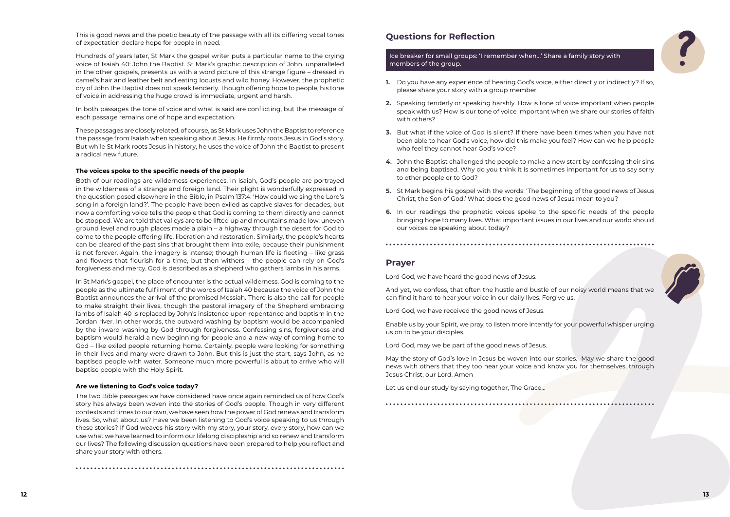This is good news and the poetic beauty of the passage with all its differing vocal tones of expectation declare hope for people in need.

Hundreds of years later, St Mark the gospel writer puts a particular name to the crying voice of Isaiah 40: John the Baptist. St Mark's graphic description of John, unparalleled in the other gospels, presents us with a word picture of this strange figure – dressed in camel's hair and leather belt and eating locusts and wild honey. However, the prophetic cry of John the Baptist does not speak tenderly. Though offering hope to people, his tone of voice in addressing the huge crowd is immediate, urgent and harsh.

In both passages the tone of voice and what is said are conflicting, but the message of each passage remains one of hope and expectation.

These passages are closely related, of course, as St Mark uses John the Baptist to reference the passage from Isaiah when speaking about Jesus. He firmly roots Jesus in God's story. But while St Mark roots Jesus in history, he uses the voice of John the Baptist to present a radical new future.

#### **The voices spoke to the specific needs of the people**

Both of our readings are wilderness experiences. In Isaiah, God's people are portrayed in the wilderness of a strange and foreign land. Their plight is wonderfully expressed in the question posed elsewhere in the Bible, in Psalm 137:4: 'How could we sing the Lord's song in a foreign land?'. The people have been exiled as captive slaves for decades, but now a comforting voice tells the people that God is coming to them directly and cannot be stopped. We are told that valleys are to be lifted up and mountains made low, uneven ground level and rough places made a plain – a highway through the desert for God to come to the people offering life, liberation and restoration. Similarly, the people's hearts can be cleared of the past sins that brought them into exile, because their punishment is not forever. Again, the imagery is intense; though human life is fleeting – like grass and flowers that flourish for a time, but then withers – the people can rely on God's forgiveness and mercy. God is described as a shepherd who gathers lambs in his arms.

In St Mark's gospel, the place of encounter is the actual wilderness. God is coming to the people as the ultimate fulfilment of the words of Isaiah 40 because the voice of John the Baptist announces the arrival of the promised Messiah. There is also the call for people to make straight their lives, though the pastoral imagery of the Shepherd embracing lambs of Isaiah 40 is replaced by John's insistence upon repentance and baptism in the Jordan river. In other words, the outward washing by baptism would be accompanied by the inward washing by God through forgiveness. Confessing sins, forgiveness and baptism would herald a new beginning for people and a new way of coming home to God – like exiled people returning home. Certainly, people were looking for something in their lives and many were drawn to John. But this is just the start, says John, as he baptised people with water. Someone much more powerful is about to arrive who will baptise people with the Holy Spirit.

#### **Are we listening to God's voice today?**

The two Bible passages we have considered have once again reminded us of how God's story has always been woven into the stories of God's people. Though in very different contexts and times to our own, we have seen how the power of God renews and transform lives. So, what about us? Have we been listening to God's voice speaking to us through these stories? If God weaves his story with my story, your story, every story, how can we use what we have learned to inform our lifelong discipleship and so renew and transform our lives? The following discussion questions have been prepared to help you reflect and share your story with others.

### **Questions for Reflection**

Ice breaker for small groups: 'I remember when…' Share a family story with members of the group.

- **1.** Do you have any experience of hearing God's voice, either directly or indirectly? If so, please share your story with a group member.
- **2.** Speaking tenderly or speaking harshly. How is tone of voice important when people speak with us? How is our tone of voice important when we share our stories of faith with others?
- **3.** But what if the voice of God is silent? If there have been times when you have not been able to hear God's voice, how did this make you feel? How can we help people who feel they cannot hear God's voice?
- **4.** John the Baptist challenged the people to make a new start by confessing their sins and being baptised. Why do you think it is sometimes important for us to say sorry to other people or to God?
- **5.** St Mark begins his gospel with the words: 'The beginning of the good news of Jesus Christ, the Son of God.' What does the good news of Jesus mean to you?
- **6.** In our readings the prophetic voices spoke to the specific needs of the people bringing hope to many lives. What important issues in our lives and our world should our voices be speaking about today?

#### **Prayer**

Lord God, we have heard the good news of Jesus.

And yet, we confess, that often the hustle and bustle of our noisy world means that we can find it hard to hear your voice in our daily lives. Forgive us.

Lord God, we have received the good news of Jesus.

Enable us by your Spirit, we pray, to listen more intently for your powerful whisper urging us on to be your disciples.

Lord God, may we be part of the good news of Jesus.

May the story of God's love in Jesus be woven into our stories. May we share the good news with others that they too hear your voice and know you for themselves, through Jesus Christ, our Lord. Amen

Let us end our study by saying together, The Grace…



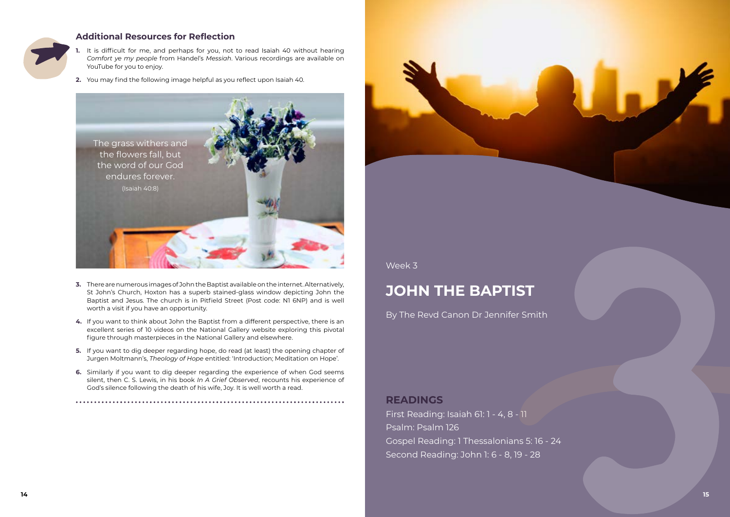

## **Additional Resources for Reflection**

- **1.** It is difficult for me, and perhaps for you, not to read Isaiah 40 without hearing *Comfort ye my people* from Handel's *Messiah*. Various recordings are available on YouTube for you to enjoy.
- **2.** You may find the following image helpful as you reflect upon Isaiah 40.

- **3.** There are numerous images of John the Baptist available on the internet. Alternatively, St John's Church, Hoxton has a superb stained-glass window depicting John the Baptist and Jesus. The church is in Pitfield Street (Post code: N1 6NP) and is well worth a visit if you have an opportunity.
- **4.** If you want to think about John the Baptist from a different perspective, there is an excellent series of 10 videos on the National Gallery website exploring this pivotal figure through masterpieces in the National Gallery and elsewhere.
- **5.** If you want to dig deeper regarding hope, do read (at least) the opening chapter of Jurgen Moltmann's, *Theology of Hope* entitled: 'Introduction; Meditation on Hope'.
- **6.** Similarly if you want to dig deeper regarding the experience of when God seems silent, then C. S. Lewis, in his book *In A Grief Observed*, recounts his experience of God's silence following the death of his wife, Joy. It is well worth a read.



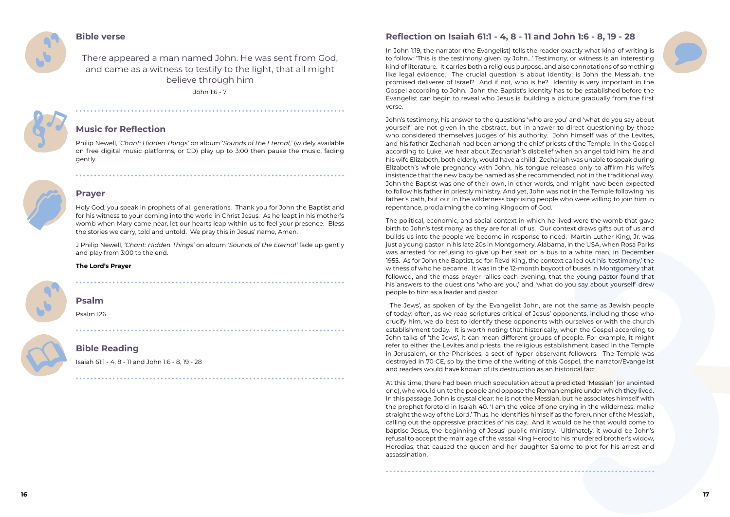### **Bible verse**

There appeared a man named John. He was sent from God, and came as a witness to testify to the light, that all might believe through him

John 1:6 - 7



## **Music for Reflection**

Philip Newell, *'Chant: Hidden Things'* on album *'Sounds of the Eternal,'* (widely available on free digital music platforms, or CD) play up to 3:00 then pause the music, fading gently.



## **Prayer**

Holy God, you speak in prophets of all generations. Thank you for John the Baptist and for his witness to your coming into the world in Christ Jesus. As he leapt in his mother's womb when Mary came near, let our hearts leap within us to feel your presence. Bless the stories we carry, told and untold. We pray this in Jesus' name, Amen.

J Philip Newell, *'Chant: Hidden Things'* on album *'Sounds of the Eternal'* fade up gently and play from 3:00 to the end.

### **The Lord's Prayer**



## **Psalm**

Psalm 126

## **Bible Reading**

Isaiah 61:1 - 4, 8 - 11 and John 1:6 - 8, 19 - 28

## **Reflection on Isaiah 61:1 - 4, 8 - 11 and John 1:6 - 8, 19 - 28**

In John 1:19, the narrator (the Evangelist) tells the reader exactly what kind of writing is to follow: 'This is the testimony given by John…' Testimony, or witness is an interesting kind of literature. It carries both a religious purpose, and also connotations of something like legal evidence. The crucial question is about identity: is John the Messiah, the promised deliverer of Israel? And if not, who is he? Identity is very important in the Gospel according to John. John the Baptist's identity has to be established before the Evangelist can begin to reveal who Jesus is, building a picture gradually from the first verse.

John's testimony, his answer to the questions 'who are you' and 'what do you say about yourself' are not given in the abstract, but in answer to direct questioning by those who considered themselves judges of his authority. John himself was of the Levites, and his father Zechariah had been among the chief priests of the Temple. In the Gospel according to Luke, we hear about Zechariah's disbelief when an angel told him, he and his wife Elizabeth, both elderly, would have a child. Zechariah was unable to speak during Elizabeth's whole pregnancy with John, his tongue released only to affirm his wife's insistence that the new baby be named as she recommended, not in the traditional way. John the Baptist was one of their own, in other words, and might have been expected to follow his father in priestly ministry. And yet, John was not in the Temple following his father's path, but out in the wilderness baptising people who were willing to join him in repentance, proclaiming the coming Kingdom of God.

The political, economic, and social context in which he lived were the womb that gave birth to John's testimony, as they are for all of us. Our context draws gifts out of us and builds us into the people we become in response to need. Martin Luther King, Jr. was just a young pastor in his late 20s in Montgomery, Alabama, in the USA, when Rosa Parks was arrested for refusing to give up her seat on a bus to a white man, in December 1955. As for John the Baptist, so for Revd King, the context called out his 'testimony,' the witness of who he became. It was in the 12-month boycott of buses in Montgomery that followed, and the mass prayer rallies each evening, that the young pastor found that his answers to the questions 'who are you,' and 'what do you say about yourself' drew people to him as a leader and pastor.

 'The Jews', as spoken of by the Evangelist John, are not the same as Jewish people of today: often, as we read scriptures critical of Jesus' opponents, including those who crucify him, we do best to identify these opponents with ourselves or with the church establishment today. It is worth noting that historically, when the Gospel according to John talks of 'the Jews', it can mean different groups of people. For example, it might refer to either the Levites and priests, the religious establishment based in the Temple in Jerusalem, or the Pharisees, a sect of hyper observant followers. The Temple was destroyed in 70 CE, so by the time of the writing of this Gospel, the narrator/Evangelist and readers would have known of its destruction as an historical fact.

At this time, there had been much speculation about a predicted 'Messiah' (or anointed one), who would unite the people and oppose the Roman empire under which they lived. In this passage, John is crystal clear: he is not the Messiah, but he associates himself with the prophet foretold in Isaiah 40. 'I am the voice of one crying in the wilderness, make straight the way of the Lord.' Thus, he identifies himself as the forerunner of the Messiah, calling out the oppressive practices of his day. And it would be he that would come to baptise Jesus, the beginning of Jesus' public ministry. Ultimately, it would be John's refusal to accept the marriage of the vassal King Herod to his murdered brother's widow, Herodias, that caused the queen and her daughter Salome to plot for his arrest and assassination.

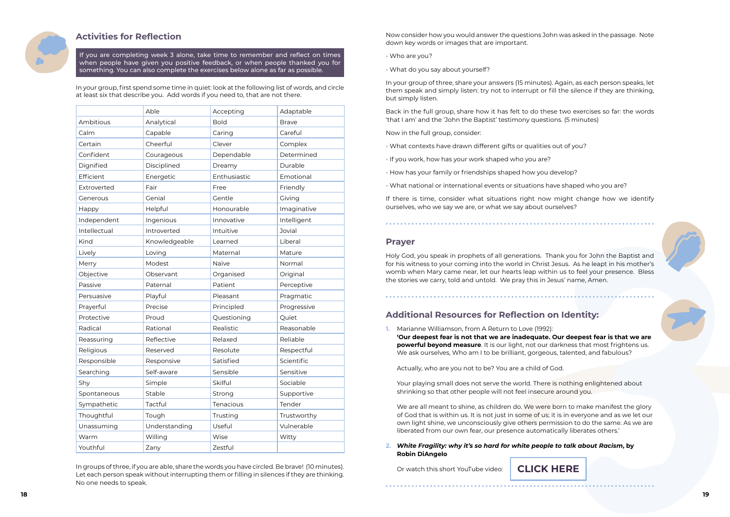

## **Activities for Reflection**

If you are completing week 3 alone, take time to remember and reflect on times when people have given you positive feedback, or when people thanked you for something. You can also complete the exercises below alone as far as possible.

In your group, first spend some time in quiet: look at the following list of words, and circle at least six that describe you. Add words if you need to, that are not there.

|              | Able          | Accepting    | Adaptable     |
|--------------|---------------|--------------|---------------|
| Ambitious    | Analytical    | <b>Bold</b>  | <b>Brave</b>  |
| Calm         | Capable       | Caring       | Careful       |
| Certain      | Cheerful      | Clever       | Complex       |
| Confident    | Courageous    | Dependable   | Determined    |
| Dignified    | Disciplined   | Dreamy       | Durable       |
| Efficient    | Energetic     | Enthusiastic | Emotional     |
| Extroverted  | Fair          | Free         | Friendly      |
| Generous     | Genial        | Gentle       | Giving        |
| Happy        | Helpful       | Honourable   | Imaginative   |
| Independent  | Ingenious     | Innovative   | Intelligent   |
| Intellectual | Introverted   | Intuitive    | <b>Jovial</b> |
| Kind         | Knowledgeable | Learned      | Liberal       |
| Lively       | Loving        | Maternal     | Mature        |
| Merry        | Modest        | Naïve        | Normal        |
| Objective    | Observant     | Organised    | Original      |
| Passive      | Paternal      | Patient      | Perceptive    |
| Persuasive   | Playful       | Pleasant     | Pragmatic     |
| Prayerful    | Precise       | Principled   | Progressive   |
| Protective   | Proud         | Questioning  | Quiet         |
| Radical      | Rational      | Realistic    | Reasonable    |
| Reassuring   | Reflective    | Relaxed      | Reliable      |
| Religious    | Reserved      | Resolute     | Respectful    |
| Responsible  | Responsive    | Satisfied    | Scientific    |
| Searching    | Self-aware    | Sensible     | Sensitive     |
| Shy          | Simple        | Skilful      | Sociable      |
| Spontaneous  | Stable        | Strong       | Supportive    |
| Sympathetic  | Tactful       | Tenacious    | Tender        |
| Thoughtful   | Tough         | Trusting     | Trustworthy   |
| Unassuming   | Understanding | Useful       | Vulnerable    |
| Warm         | Willing       | Wise         | Witty         |
| Youthful     | Zany          | Zestful      |               |

In groups of three, if you are able, share the words you have circled. Be brave! (10 minutes). Let each person speak without interrupting them or filling in silences if they are thinking. No one needs to speak.

Now consider how you would answer the questions John was asked in the passage. Note down key words or images that are important.

- Who are you?
- What do you say about yourself?

In your group of three, share your answers (15 minutes). Again, as each person speaks, let them speak and simply listen: try not to interrupt or fill the silence if they are thinking, but simply listen.

Back in the full group, share how it has felt to do these two exercises so far: the words 'that I am' and the 'John the Baptist' testimony questions. (5 minutes)

Now in the full group, consider:

- What contexts have drawn different gifts or qualities out of you?
- If you work, how has your work shaped who you are?
- How has your family or friendships shaped how you develop?
- What national or international events or situations have shaped who you are?

If there is time, consider what situations right now might change how we identify ourselves, who we say we are, or what we say about ourselves?

### **Prayer**

Holy God, you speak in prophets of all generations. Thank you for John the Baptist and for his witness to your coming into the world in Christ Jesus. As he leapt in his mother's womb when Mary came near, let our hearts leap within us to feel your presence. Bless the stories we carry, told and untold. We pray this in Jesus' name, Amen.

## **Additional Resources for Reflection on Identity:**

**1.** Marianne Williamson, from A Return to Love (1992): **'Our deepest fear is not that we are inadequate. Our deepest fear is that we are powerful beyond measure**. It is our light, not our darkness that most frightens us. We ask ourselves, Who am I to be brilliant, gorgeous, talented, and fabulous?

Actually, who are you not to be? You are a child of God.

Your playing small does not serve the world. There is nothing enlightened about shrinking so that other people will not feel insecure around you.

We are all meant to shine, as children do. We were born to make manifest the glory of God that is within us. It is not just in some of us; it is in everyone and as we let our own light shine, we unconsciously give others permission to do the same. As we are liberated from our own fear, our presence automatically liberates others.'

**2.** *White Fragility: why it's so hard for white people to talk about Racism***, by Robin DiAngelo**

Or watch this short YouTube video:



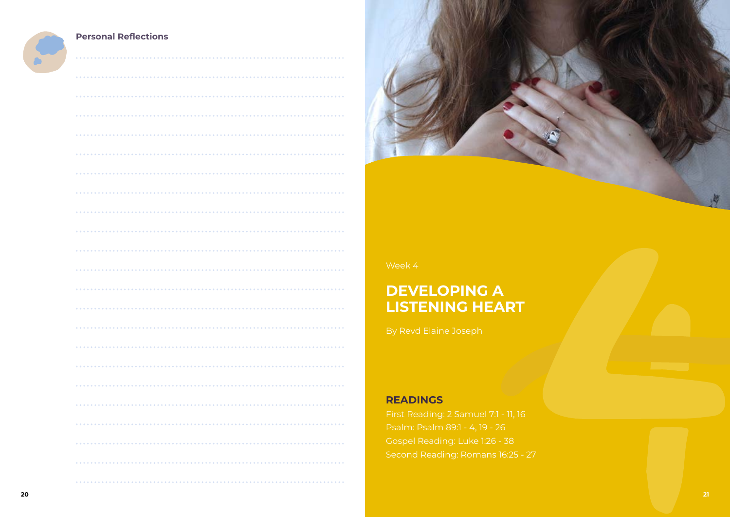



## **Personal Reflections**

| $\bullet$ $\bullet$      |
|--------------------------|
|                          |
|                          |
| .                        |
|                          |
| $\bullet$ $\bullet$      |
|                          |
| .                        |
|                          |
|                          |
|                          |
| .                        |
|                          |
|                          |
| $\bullet$ $\bullet$<br>. |
|                          |
|                          |
|                          |
|                          |
|                          |
|                          |
|                          |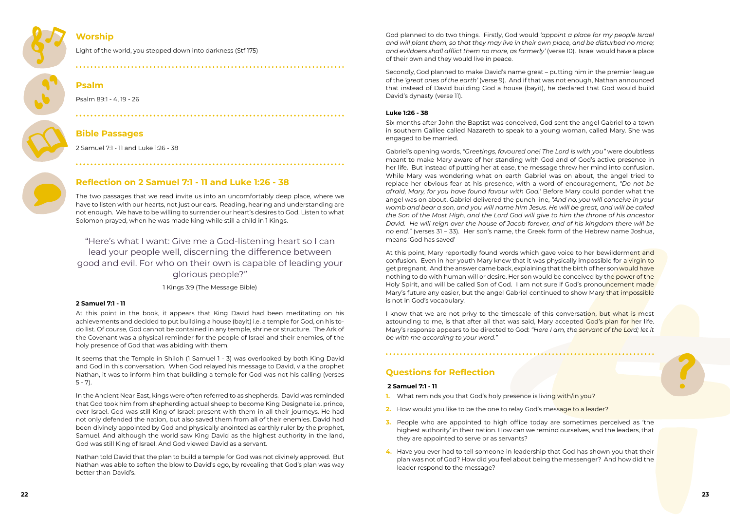

## **Worship**

[Light of the world, you stepped down into darkness](https://www.methodist.org.uk/our-faith/worship/singing-the-faith-plus/hymns/light-of-the-world-you-stepped-down-into-darkness-stf-175/) (Stf 175)

## **Psalm**

Psalm 89:1 - 4, 19 - 26

## **Bible Passages**

2 Samuel 7:1 - 11 and Luke 1:26 - 38

## **Reflection on 2 Samuel 7:1 - 11 and Luke 1:26 - 38**

The two passages that we read invite us into an uncomfortably deep place, where we have to listen with our hearts, not just our ears. Reading, hearing and understanding are not enough. We have to be willing to surrender our heart's desires to God. Listen to what Solomon prayed, when he was made king while still a child in 1 Kings.

It seems that the Temple in Shiloh (1 Samuel 1 - 3) was overlooked by both King David and God in this conversation. When God relayed his message to David, via the prophet Nathan, it was to inform him that building a temple for God was not his calling (verses  $5 - 7$ ).

"Here's what I want: Give me a God-listening heart so I can lead your people well, discerning the difference between good and evil. For who on their own is capable of leading your glorious people?"

1 Kings 3:9 (The Message Bible)

### **2 Samuel 7:1 - 11**

At this point in the book, it appears that King David had been meditating on his achievements and decided to put building a house (bayit) i.e. a temple for God, on his todo list. Of course, God cannot be contained in any temple, shrine or structure. The Ark of the Covenant was a physical reminder for the people of Israel and their enemies, of the holy presence of God that was abiding with them.

In the Ancient Near East, kings were often referred to as shepherds. David was reminded that God took him from shepherding actual sheep to become King Designate i.e. prince, over Israel. God was still King of Israel: present with them in all their journeys. He had not only defended the nation, but also saved them from all of their enemies. David had been divinely appointed by God and physically anointed as earthly ruler by the prophet, Samuel. And although the world saw King David as the highest authority in the land, God was still King of Israel. And God viewed David as a servant.

Nathan told David that the plan to build a temple for God was not divinely approved. But Nathan was able to soften the blow to David's ego, by revealing that God's plan was way better than David's.

God planned to do two things. Firstly, God would *'appoint a place for my people Israel and will plant them, so that they may live in their own place, and be disturbed no more; and evildoers shall afflict them no more, as formerly'* (verse 10). Israel would have a place of their own and they would live in peace.

I know that we are not privy to the timescale of this conversation, but what is most astounding to me, is that after all that was said, Mary accepted God's plan for her life. Mary's response appears to be directed to God: *"Here I am, the servant of the Lord; let it be with me according to your word."* 

Secondly, God planned to make David's name great – putting him in the premier league of the *'great ones of the earth'* (verse 9). And if that was not enough, Nathan announced that instead of David building God a house (bayit), he declared that God would build David's dynasty (verse 11).

### **Luke 1:26 - 38**

Six months after John the Baptist was conceived, God sent the angel Gabriel to a town in southern Galilee called Nazareth to speak to a young woman, called Mary. She was engaged to be married.

Gabriel's opening words, *"Greetings, favoured one! The Lord is with you"* were doubtless meant to make Mary aware of her standing with God and of God's active presence in her life. But instead of putting her at ease, the message threw her mind into confusion. While Mary was wondering what on earth Gabriel was on about, the angel tried to replace her obvious fear at his presence, with a word of encouragement, *"Do not be afraid, Mary, for you have found favour with God.'* Before Mary could ponder what the angel was on about, Gabriel delivered the punch line, *"And no, you will conceive in your womb and bear a son, and you will name him Jesus. He will be great, and will be called the Son of the Most High, and the Lord God will give to him the throne of his ancestor David. He will reign over the house of Jacob forever, and of his kingdom there will be no end."* (verses 31 – 33). Her son's name, the Greek form of the Hebrew name Joshua, means 'God has saved'

At this point, Mary reportedly found words which gave voice to her bewilderment and confusion. Even in her youth Mary knew that it was physically impossible for a virgin to get pregnant. And the answer came back, explaining that the birth of her son would have nothing to do with human will or desire. Her son would be conceived by the power of the Holy Spirit, and will be called Son of God. I am not sure if God's pronouncement made Mary's future any easier, but the angel Gabriel continued to show Mary that impossible is not in God's vocabulary.

## **Questions for Reflection**

### **2 Samuel 7:1 - 11**

- **1.** What reminds you that God's holy presence is living with/in you?
- **2.** How would you like to be the one to relay God's message to a leader?
- **3.** People who are appointed to high office today are sometimes perceived as 'the highest authority' in their nation. How can we remind ourselves, and the leaders, that they are appointed to serve or as servants?
- **4.** Have you ever had to tell someone in leadership that God has shown you that their plan was not of God? How did you feel about being the messenger? And how did the leader respond to the message?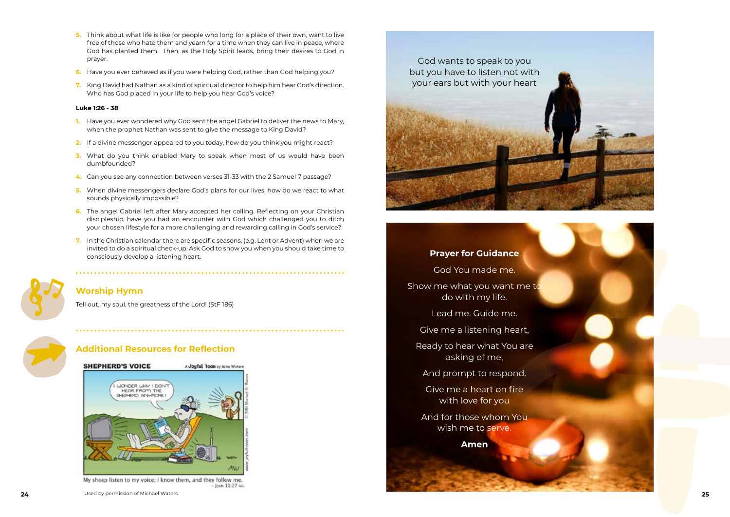- **5.** Think about what life is like for people who long for a place of their own, want to live free of those who hate them and yearn for a time when they can live in peace, where God has planted them. Then, as the Holy Spirit leads, bring their desires to God in prayer.
- **6.** Have you ever behaved as if you were helping God, rather than God helping you?
- **7.** King David had Nathan as a kind of spiritual director to help him hear God's direction. Who has God placed in your life to help you hear God's voice?

#### **Luke 1:26 - 38**

And for those whom You wish me to serve.

- **1.** Have you ever wondered why God sent the angel Gabriel to deliver the news to Mary, when the prophet Nathan was sent to give the message to King David?
- **2.** If a divine messenger appeared to you today, how do you think you might react?
- **3.** What do you think enabled Mary to speak when most of us would have been dumbfounded?
- **4.** Can you see any connection between verses 31-33 with the 2 Samuel 7 passage?
- **5.** When divine messengers declare God's plans for our lives, how do we react to what sounds physically impossible?
- **6.** The angel Gabriel left after Mary accepted her calling. Reflecting on your Christian discipleship, have you had an encounter with God which challenged you to ditch your chosen lifestyle for a more challenging and rewarding calling in God's service?
- **7.** In the Christian calendar there are specific seasons, (e.g. Lent or Advent) when we are invited to do a spiritual check-up. Ask God to show you when you should take time to consciously develop a listening heart.



## **Worship Hymn**

[Tell out, my soul, the greatness of the Lord!](https://www.methodist.org.uk/our-faith/worship/singing-the-faith-plus/hymns/tell-out-my-soul-the-greatness-of-the-lord-stf-186/) (StF 186)



## **Additional Resources for Reflection**



My sheep listen to my voice; I know them, and they follow me. Joint 10:27 NV



## **Prayer for Guidance**

God You made me.

Show me what you want me to do with my life.

Lead me. Guide me.



Give me a listening heart,

Ready to hear what You are asking of me,

And prompt to respond.

Give me a heart on fire with love for you

**Amen**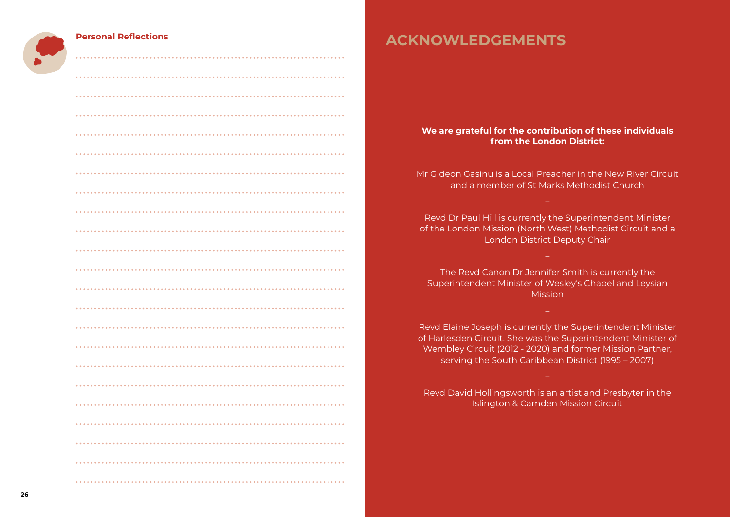# **ACKNOWLEDGEMENTS**

# **We are grateful for the contribution of these individuals**

**from the London District:** 

Mr Gideon Gasinu is a Local Preacher in the New River Circuit and a member of St Marks Methodist Church

Revd Dr Paul Hill is currently the Superintendent Minister of the London Mission (North West) Methodist Circuit and a London District Deputy Chair

The Revd Canon Dr Jennifer Smith is currently the Superintendent Minister of Wesley's Chapel and Leysian Mission

Revd Elaine Joseph is currently the Superintendent Minister of Harlesden Circuit. She was the Superintendent Minister of Wembley Circuit (2012 - 2020) and former Mission Partner, serving the South Caribbean District (1995 – 2007)

Revd David Hollingsworth is an artist and Presbyter in the Islington & Camden Mission Circuit

## **Personal Reflections**

|           | $\bullet\hspace{0.4mm}\bullet\hspace{0.4mm}\bullet\hspace{0.4mm}$ |
|-----------|-------------------------------------------------------------------|
|           |                                                                   |
|           |                                                                   |
|           |                                                                   |
|           |                                                                   |
|           |                                                                   |
| $•••••••$ |                                                                   |
| .<br>.    |                                                                   |
|           |                                                                   |
|           |                                                                   |
|           |                                                                   |
|           |                                                                   |
|           |                                                                   |
|           |                                                                   |
|           |                                                                   |
|           |                                                                   |
|           |                                                                   |
|           |                                                                   |
|           |                                                                   |
|           |                                                                   |
|           |                                                                   |
|           |                                                                   |
|           |                                                                   |